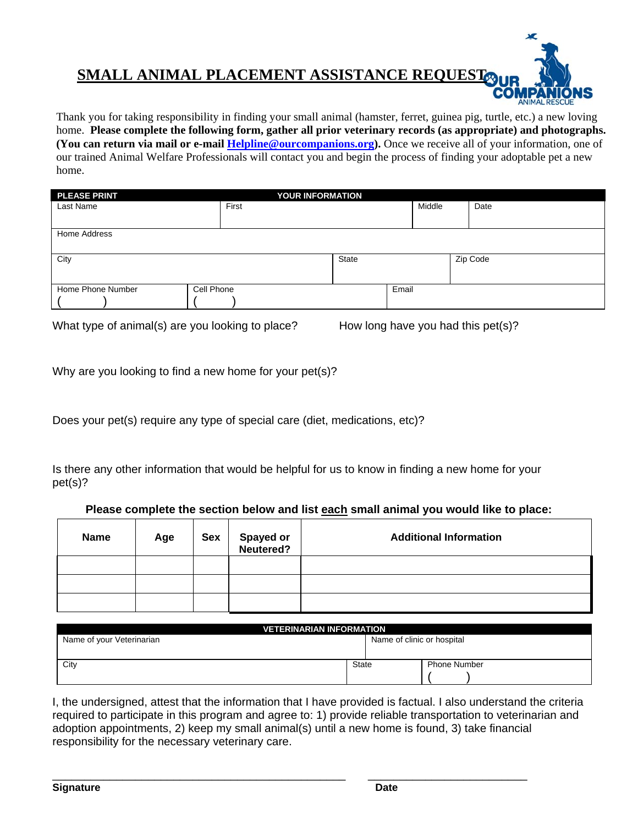## **SMALL ANIMAL PLACEMENT ASSISTANCE REQUEST**

Thank you for taking responsibility in finding your small animal (hamster, ferret, guinea pig, turtle, etc.) a new loving home. **Please complete the following form, gather all prior veterinary records (as appropriate) and photographs. (You can return via mail or e-mail Helpline@ourcompanions.org).** Once we receive all of your information, one of our trained Animal Welfare Professionals will contact you and begin the process of finding your adoptable pet a new home.

| <b>PLEASE PRINT</b> | <b>YOUR INFORMATION</b> |       |        |          |  |
|---------------------|-------------------------|-------|--------|----------|--|
| Last Name           | First                   |       | Middle | Date     |  |
|                     |                         |       |        |          |  |
| Home Address        |                         |       |        |          |  |
|                     |                         |       |        |          |  |
| City                |                         | State |        | Zip Code |  |
|                     |                         |       |        |          |  |
| Home Phone Number   | Cell Phone              |       | Email  |          |  |
|                     |                         |       |        |          |  |

What type of animal(s) are you looking to place? How long have you had this pet(s)?

CO

Why are you looking to find a new home for your pet(s)?

Does your pet(s) require any type of special care (diet, medications, etc)?

Is there any other information that would be helpful for us to know in finding a new home for your pet(s)?

|  |  | Please complete the section below and list each small animal you would like to place: |  |
|--|--|---------------------------------------------------------------------------------------|--|
|  |  |                                                                                       |  |

| <b>Name</b> | Age | <b>Sex</b> | <b>Spayed or<br/>Neutered?</b> | <b>Additional Information</b> |
|-------------|-----|------------|--------------------------------|-------------------------------|
|             |     |            |                                |                               |
|             |     |            |                                |                               |
|             |     |            |                                |                               |

| <b>VETERINARIAN INFORMATION</b> |              |                            |                     |  |  |
|---------------------------------|--------------|----------------------------|---------------------|--|--|
| Name of your Veterinarian       |              | Name of clinic or hospital |                     |  |  |
|                                 |              |                            |                     |  |  |
| City                            | <b>State</b> |                            | <b>Phone Number</b> |  |  |
|                                 |              |                            |                     |  |  |

I, the undersigned, attest that the information that I have provided is factual. I also understand the criteria required to participate in this program and agree to: 1) provide reliable transportation to veterinarian and adoption appointments, 2) keep my small animal(s) until a new home is found, 3) take financial responsibility for the necessary veterinary care.

\_\_\_\_\_\_\_\_\_\_\_\_\_\_\_\_\_\_\_\_\_\_\_\_\_\_\_\_\_\_\_\_\_\_\_\_\_\_\_\_\_\_\_\_\_\_ \_\_\_\_\_\_\_\_\_\_\_\_\_\_\_\_\_\_\_\_\_\_\_\_\_